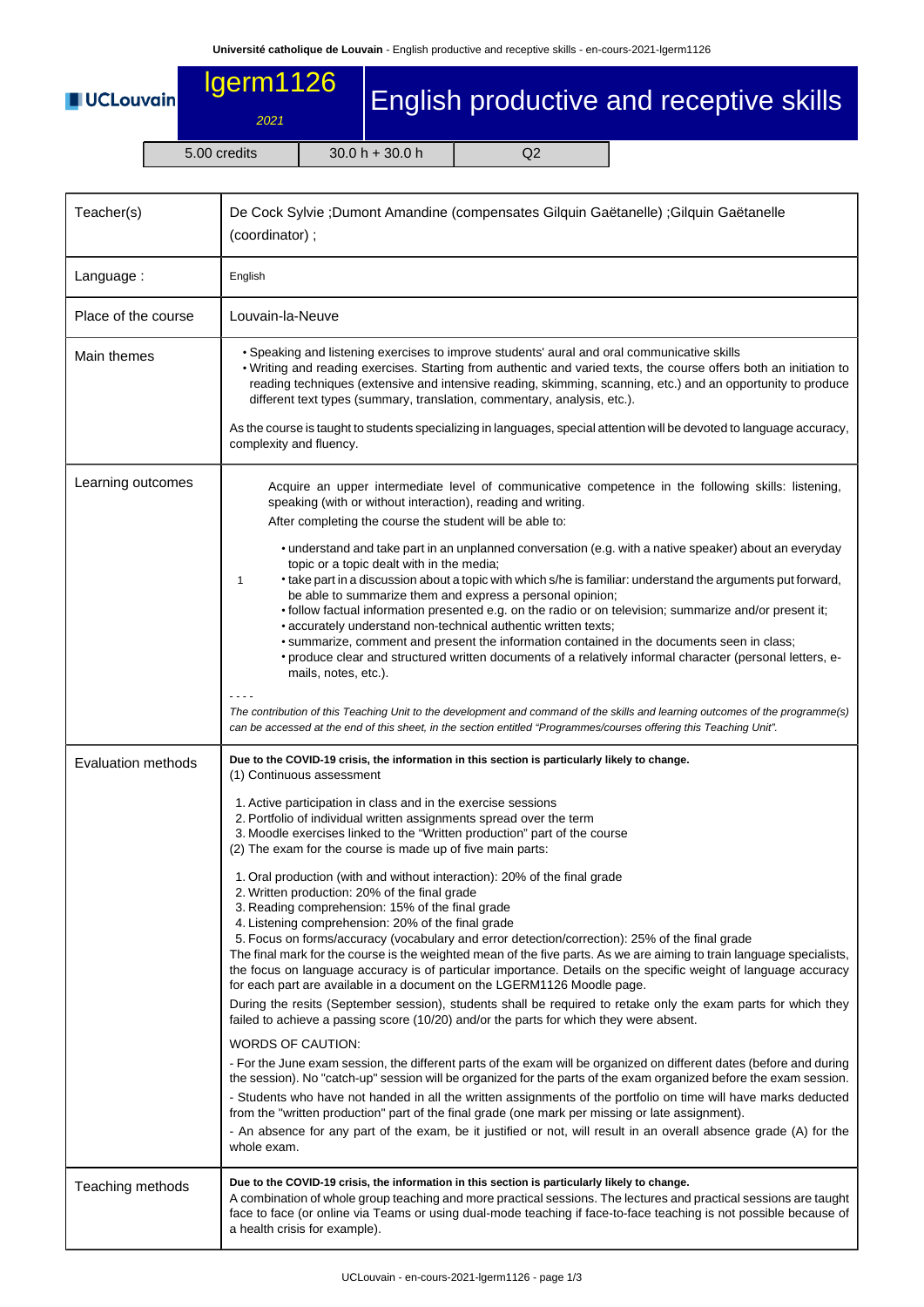## **UCLouvain**

## lgerm1126

2021 5.00 credits 30.0 h + 30.0 h Q2

English productive and receptive skills

| Teacher(s)                | De Cock Sylvie ;Dumont Amandine (compensates Gilquin Gaëtanelle) ;Gilquin Gaëtanelle<br>(coordinator);                                                                                                                                                                                                                                                                                                                                                                                                                                                                                                                                                                                                                                                                                                                                                                                                                                                                                                                        |  |  |  |  |
|---------------------------|-------------------------------------------------------------------------------------------------------------------------------------------------------------------------------------------------------------------------------------------------------------------------------------------------------------------------------------------------------------------------------------------------------------------------------------------------------------------------------------------------------------------------------------------------------------------------------------------------------------------------------------------------------------------------------------------------------------------------------------------------------------------------------------------------------------------------------------------------------------------------------------------------------------------------------------------------------------------------------------------------------------------------------|--|--|--|--|
| Language:                 | English                                                                                                                                                                                                                                                                                                                                                                                                                                                                                                                                                                                                                                                                                                                                                                                                                                                                                                                                                                                                                       |  |  |  |  |
| Place of the course       | Louvain-la-Neuve                                                                                                                                                                                                                                                                                                                                                                                                                                                                                                                                                                                                                                                                                                                                                                                                                                                                                                                                                                                                              |  |  |  |  |
| Main themes               | • Speaking and listening exercises to improve students' aural and oral communicative skills<br>. Writing and reading exercises. Starting from authentic and varied texts, the course offers both an initiation to<br>reading techniques (extensive and intensive reading, skimming, scanning, etc.) and an opportunity to produce<br>different text types (summary, translation, commentary, analysis, etc.).                                                                                                                                                                                                                                                                                                                                                                                                                                                                                                                                                                                                                 |  |  |  |  |
|                           | As the course is taught to students specializing in languages, special attention will be devoted to language accuracy,<br>complexity and fluency.                                                                                                                                                                                                                                                                                                                                                                                                                                                                                                                                                                                                                                                                                                                                                                                                                                                                             |  |  |  |  |
| Learning outcomes         | Acquire an upper intermediate level of communicative competence in the following skills: listening,<br>speaking (with or without interaction), reading and writing.<br>After completing the course the student will be able to:                                                                                                                                                                                                                                                                                                                                                                                                                                                                                                                                                                                                                                                                                                                                                                                               |  |  |  |  |
|                           | • understand and take part in an unplanned conversation (e.g. with a native speaker) about an everyday<br>topic or a topic dealt with in the media;<br>• take part in a discussion about a topic with which s/he is familiar: understand the arguments put forward,<br>1<br>be able to summarize them and express a personal opinion;<br>• follow factual information presented e.g. on the radio or on television; summarize and/or present it;<br>• accurately understand non-technical authentic written texts;<br>• summarize, comment and present the information contained in the documents seen in class;<br>• produce clear and structured written documents of a relatively informal character (personal letters, e-<br>mails, notes, etc.).                                                                                                                                                                                                                                                                         |  |  |  |  |
|                           | The contribution of this Teaching Unit to the development and command of the skills and learning outcomes of the programme(s)<br>can be accessed at the end of this sheet, in the section entitled "Programmes/courses offering this Teaching Unit".                                                                                                                                                                                                                                                                                                                                                                                                                                                                                                                                                                                                                                                                                                                                                                          |  |  |  |  |
| <b>Evaluation methods</b> | Due to the COVID-19 crisis, the information in this section is particularly likely to change.<br>(1) Continuous assessment                                                                                                                                                                                                                                                                                                                                                                                                                                                                                                                                                                                                                                                                                                                                                                                                                                                                                                    |  |  |  |  |
|                           | 1. Active participation in class and in the exercise sessions<br>2. Portfolio of individual written assignments spread over the term<br>3. Moodle exercises linked to the "Written production" part of the course<br>(2) The exam for the course is made up of five main parts:                                                                                                                                                                                                                                                                                                                                                                                                                                                                                                                                                                                                                                                                                                                                               |  |  |  |  |
|                           | 1. Oral production (with and without interaction): 20% of the final grade<br>2. Written production: 20% of the final grade<br>3. Reading comprehension: 15% of the final grade<br>4. Listening comprehension: 20% of the final grade<br>5. Focus on forms/accuracy (vocabulary and error detection/correction): 25% of the final grade<br>The final mark for the course is the weighted mean of the five parts. As we are aiming to train language specialists,<br>the focus on language accuracy is of particular importance. Details on the specific weight of language accuracy<br>for each part are available in a document on the LGERM1126 Moodle page.<br>During the resits (September session), students shall be required to retake only the exam parts for which they<br>failed to achieve a passing score (10/20) and/or the parts for which they were absent.<br><b>WORDS OF CAUTION:</b><br>- For the June exam session, the different parts of the exam will be organized on different dates (before and during |  |  |  |  |
|                           | the session). No "catch-up" session will be organized for the parts of the exam organized before the exam session.<br>- Students who have not handed in all the written assignments of the portfolio on time will have marks deducted<br>from the "written production" part of the final grade (one mark per missing or late assignment).<br>- An absence for any part of the exam, be it justified or not, will result in an overall absence grade (A) for the<br>whole exam.                                                                                                                                                                                                                                                                                                                                                                                                                                                                                                                                                |  |  |  |  |
| Teaching methods          | Due to the COVID-19 crisis, the information in this section is particularly likely to change.<br>A combination of whole group teaching and more practical sessions. The lectures and practical sessions are taught<br>face to face (or online via Teams or using dual-mode teaching if face-to-face teaching is not possible because of<br>a health crisis for example).                                                                                                                                                                                                                                                                                                                                                                                                                                                                                                                                                                                                                                                      |  |  |  |  |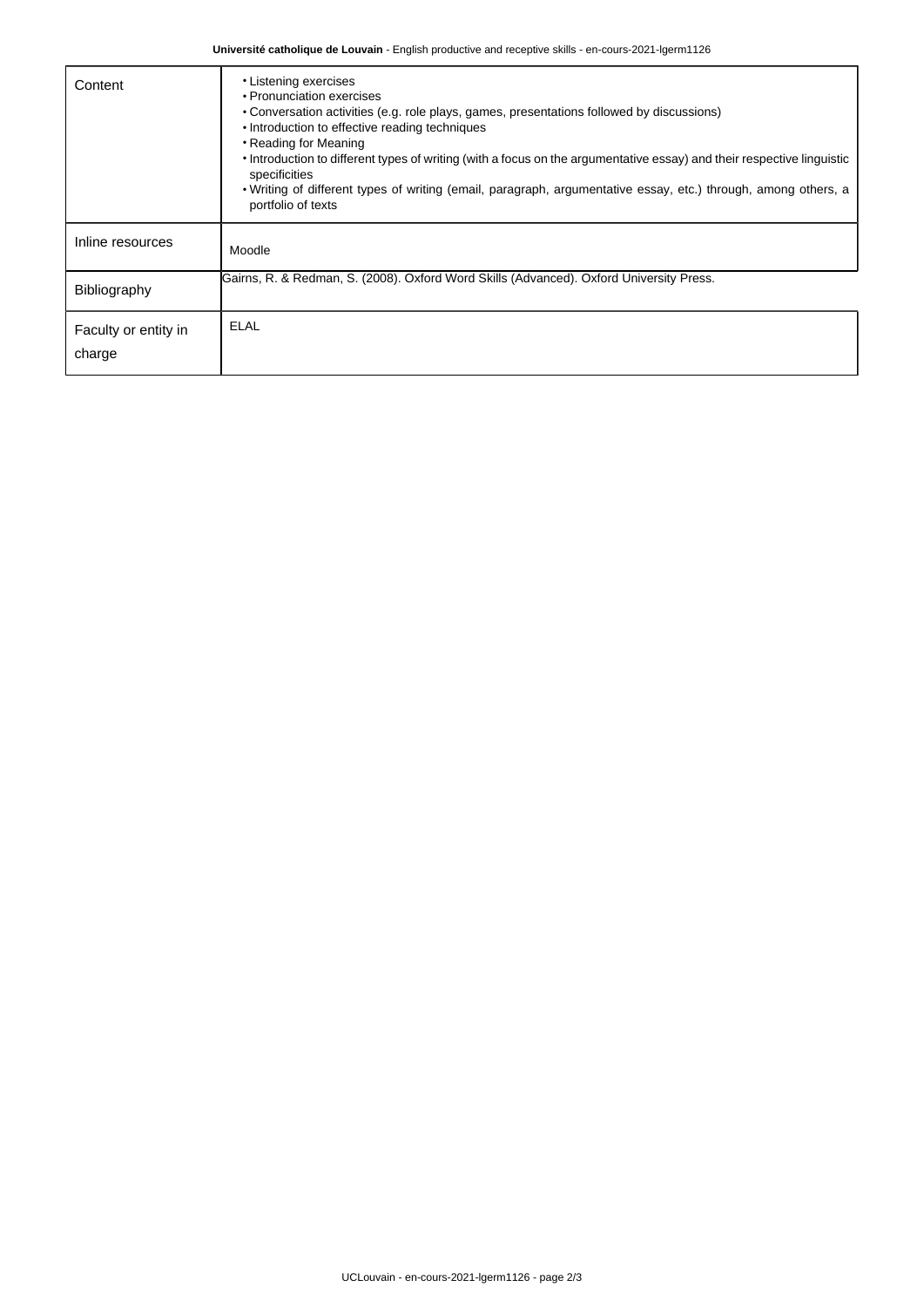**Université catholique de Louvain** - English productive and receptive skills - en-cours-2021-lgerm1126

| Content                        | • Listening exercises<br>• Pronunciation exercises<br>• Conversation activities (e.g. role plays, games, presentations followed by discussions)<br>• Introduction to effective reading techniques<br>• Reading for Meaning<br>• Introduction to different types of writing (with a focus on the argumentative essay) and their respective linguistic<br>specificities<br>. Writing of different types of writing (email, paragraph, argumentative essay, etc.) through, among others, a<br>portfolio of texts |
|--------------------------------|---------------------------------------------------------------------------------------------------------------------------------------------------------------------------------------------------------------------------------------------------------------------------------------------------------------------------------------------------------------------------------------------------------------------------------------------------------------------------------------------------------------|
| Inline resources               | Moodle                                                                                                                                                                                                                                                                                                                                                                                                                                                                                                        |
| Bibliography                   | Gairns, R. & Redman, S. (2008). Oxford Word Skills (Advanced). Oxford University Press.                                                                                                                                                                                                                                                                                                                                                                                                                       |
| Faculty or entity in<br>charge | <b>ELAL</b>                                                                                                                                                                                                                                                                                                                                                                                                                                                                                                   |